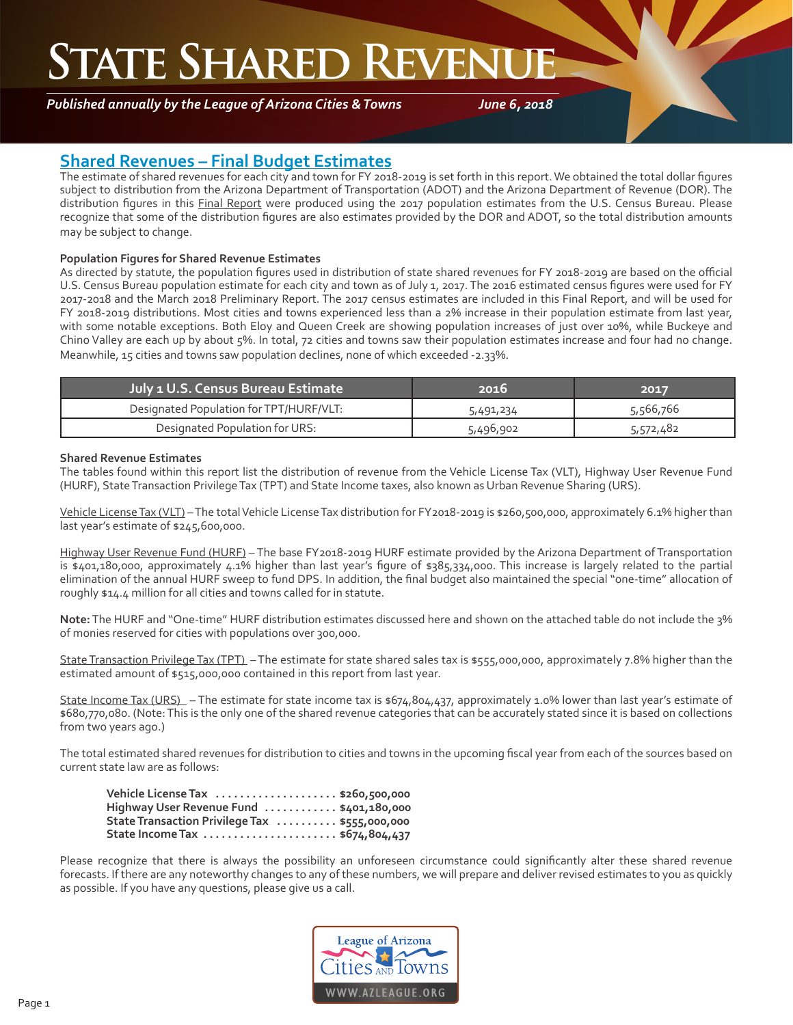## **STATE SHARED REVEN**

*Published annually by the League of Arizona Cities & Towns*

*June 6, 2018*

#### **Shared Revenues – Final Budget Estimates**

The estimate of shared revenues for each city and town for FY 2018-2019 is set forth in this report. We obtained the total dollar figures subject to distribution from the Arizona Department of Transportation (ADOT) and the Arizona Department of Revenue (DOR). The distribution figures in this Final Report were produced using the 2017 population estimates from the U.S. Census Bureau. Please recognize that some of the distribution figures are also estimates provided by the DOR and ADOT, so the total distribution amounts may be subject to change.

#### **Population Figures for Shared Revenue Estimates**

As directed by statute, the population figures used in distribution of state shared revenues for FY 2018-2019 are based on the official U.S. Census Bureau population estimate for each city and town as of July 1, 2017. The 2016 estimated census figures were used for FY 2017-2018 and the March 2018 Preliminary Report. The 2017 census estimates are included in this Final Report, and will be used for FY 2018-2019 distributions. Most cities and towns experienced less than a 2% increase in their population estimate from last year, with some notable exceptions. Both Eloy and Queen Creek are showing population increases of just over 10%, while Buckeye and Chino Valley are each up by about 5%. In total, 72 cities and towns saw their population estimates increase and four had no change. Meanwhile, 15 cities and towns saw population declines, none of which exceeded -2.33%.

| <b>July 1 U.S. Census Bureau Estimate</b> | 2016      | 2017      |
|-------------------------------------------|-----------|-----------|
| Designated Population for TPT/HURF/VLT:   | 5,491,234 | 5,566,766 |
| Designated Population for URS:            | 5,496,902 | 5,572,482 |

#### **Shared Revenue Estimates**

The tables found within this report list the distribution of revenue from the Vehicle License Tax (VLT), Highway User Revenue Fund (HURF), State Transaction Privilege Tax (TPT) and State Income taxes, also known as Urban Revenue Sharing (URS).

Vehicle License Tax (VLT) – The total Vehicle License Tax distribution for FY2018-2019 is \$260,500,000, approximately 6.1% higher than last year's estimate of \$245,600,000.

Highway User Revenue Fund (HURF) – The base FY2018-2019 HURF estimate provided by the Arizona Department of Transportation is \$401,180,000, approximately 4.1% higher than last year's figure of \$385,334,000. This increase is largely related to the partial elimination of the annual HURF sweep to fund DPS. In addition, the final budget also maintained the special "one-time" allocation of roughly \$14.4 million for all cities and towns called for in statute.

**Note:** The HURF and "One-time" HURF distribution estimates discussed here and shown on the attached table do not include the 3% of monies reserved for cities with populations over 300,000.

State Transaction Privilege Tax (TPT) – The estimate for state shared sales tax is \$555,000,000, approximately 7.8% higher than the estimated amount of \$515,000,000 contained in this report from last year.

State Income Tax (URS) – The estimate for state income tax is \$674,804,437, approximately 1.0% lower than last year's estimate of \$680,770,080. (Note: This is the only one of the shared revenue categories that can be accurately stated since it is based on collections from two years ago.)

The total estimated shared revenues for distribution to cities and towns in the upcoming fiscal year from each of the sources based on current state law are as follows:

| Vehicle License Tax  \$260,500,000             |  |
|------------------------------------------------|--|
| Highway User Revenue Fund  \$401,180,000       |  |
| State Transaction Privilege Tax  \$555,000,000 |  |
|                                                |  |

Please recognize that there is always the possibility an unforeseen circumstance could significantly alter these shared revenue forecasts. If there are any noteworthy changes to any of these numbers, we will prepare and deliver revised estimates to you as quickly as possible. If you have any questions, please give us a call.

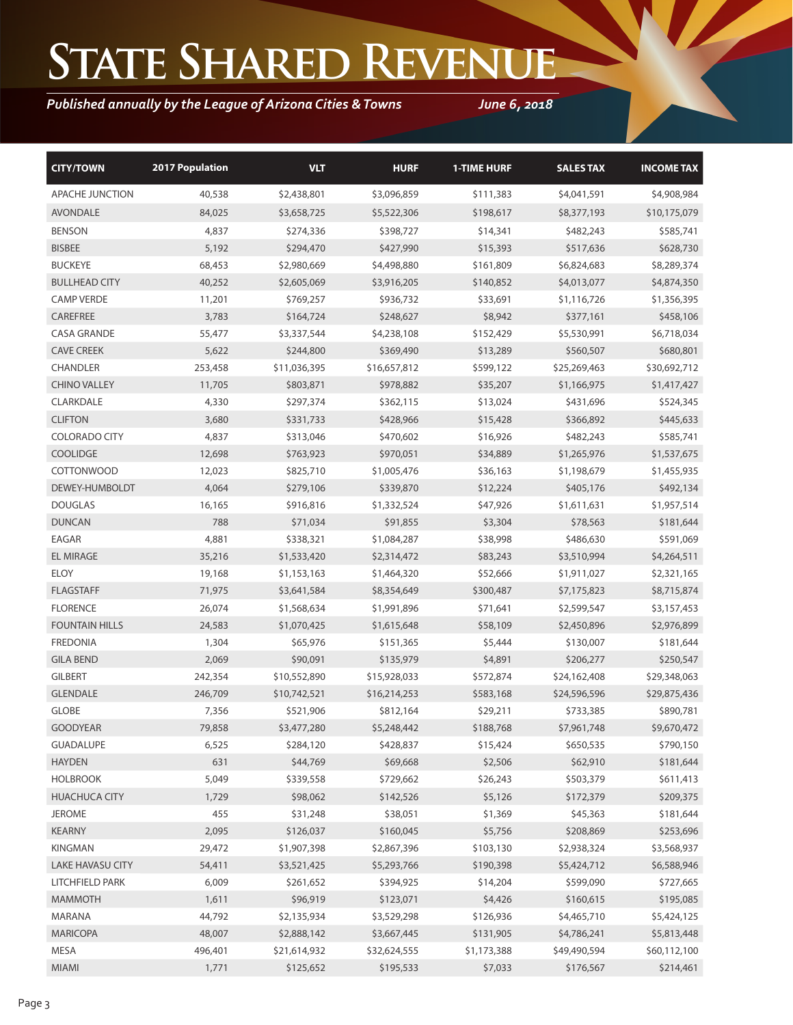# **State Shared Revenue**

### *Published annually by the League of Arizona Cities & Towns*

*June 6, 2018*

| <b>CITY/TOWN</b>        | <b>2017 Population</b> | <b>VLT</b>   | <b>HURF</b>  | <b>1-TIME HURF</b> | <b>SALES TAX</b> | <b>INCOME TAX</b> |
|-------------------------|------------------------|--------------|--------------|--------------------|------------------|-------------------|
| <b>APACHE JUNCTION</b>  | 40,538                 | \$2,438,801  | \$3,096,859  | \$111,383          | \$4,041,591      | \$4,908,984       |
| <b>AVONDALE</b>         | 84,025                 | \$3,658,725  | \$5,522,306  | \$198,617          | \$8,377,193      | \$10,175,079      |
| <b>BENSON</b>           | 4,837                  | \$274,336    | \$398,727    | \$14,341           | \$482,243        | \$585,741         |
| <b>BISBEE</b>           | 5,192                  | \$294,470    | \$427,990    | \$15,393           | \$517,636        | \$628,730         |
| <b>BUCKEYE</b>          | 68,453                 | \$2,980,669  | \$4,498,880  | \$161,809          | \$6,824,683      | \$8,289,374       |
| <b>BULLHEAD CITY</b>    | 40,252                 | \$2,605,069  | \$3,916,205  | \$140,852          | \$4,013,077      | \$4,874,350       |
| <b>CAMP VERDE</b>       | 11,201                 | \$769,257    | \$936,732    | \$33,691           | \$1,116,726      | \$1,356,395       |
| CAREFREE                | 3,783                  | \$164,724    | \$248,627    | \$8,942            | \$377,161        | \$458,106         |
| <b>CASA GRANDE</b>      | 55,477                 | \$3,337,544  | \$4,238,108  | \$152,429          | \$5,530,991      | \$6,718,034       |
| <b>CAVE CREEK</b>       | 5,622                  | \$244,800    | \$369,490    | \$13,289           | \$560,507        | \$680,801         |
| <b>CHANDLER</b>         | 253,458                | \$11,036,395 | \$16,657,812 | \$599,122          | \$25,269,463     | \$30,692,712      |
| <b>CHINO VALLEY</b>     | 11,705                 | \$803,871    | \$978,882    | \$35,207           | \$1,166,975      | \$1,417,427       |
| CLARKDALE               | 4,330                  | \$297,374    | \$362,115    | \$13,024           | \$431,696        | \$524,345         |
| <b>CLIFTON</b>          | 3,680                  | \$331,733    | \$428,966    | \$15,428           | \$366,892        | \$445,633         |
| <b>COLORADO CITY</b>    | 4,837                  | \$313,046    | \$470,602    | \$16,926           | \$482,243        | \$585,741         |
| <b>COOLIDGE</b>         | 12,698                 | \$763,923    | \$970,051    | \$34,889           | \$1,265,976      | \$1,537,675       |
| <b>COTTONWOOD</b>       | 12,023                 | \$825,710    | \$1,005,476  | \$36,163           | \$1,198,679      | \$1,455,935       |
| DEWEY-HUMBOLDT          | 4,064                  | \$279,106    | \$339,870    | \$12,224           | \$405,176        | \$492,134         |
| <b>DOUGLAS</b>          | 16,165                 | \$916,816    | \$1,332,524  | \$47,926           | \$1,611,631      | \$1,957,514       |
| <b>DUNCAN</b>           | 788                    | \$71,034     | \$91,855     | \$3,304            | \$78,563         | \$181,644         |
| EAGAR                   | 4,881                  | \$338,321    | \$1,084,287  | \$38,998           | \$486,630        | \$591,069         |
| <b>EL MIRAGE</b>        | 35,216                 | \$1,533,420  | \$2,314,472  | \$83,243           | \$3,510,994      | \$4,264,511       |
| <b>ELOY</b>             | 19,168                 | \$1,153,163  | \$1,464,320  | \$52,666           | \$1,911,027      | \$2,321,165       |
| <b>FLAGSTAFF</b>        | 71,975                 | \$3,641,584  | \$8,354,649  | \$300,487          | \$7,175,823      | \$8,715,874       |
| <b>FLORENCE</b>         | 26,074                 | \$1,568,634  | \$1,991,896  | \$71,641           | \$2,599,547      | \$3,157,453       |
| <b>FOUNTAIN HILLS</b>   | 24,583                 | \$1,070,425  | \$1,615,648  | \$58,109           | \$2,450,896      | \$2,976,899       |
| <b>FREDONIA</b>         | 1,304                  | \$65,976     | \$151,365    | \$5,444            | \$130,007        | \$181,644         |
| <b>GILA BEND</b>        | 2,069                  | \$90,091     | \$135,979    | \$4,891            | \$206,277        | \$250,547         |
| <b>GILBERT</b>          | 242,354                | \$10,552,890 | \$15,928,033 | \$572,874          | \$24,162,408     | \$29,348,063      |
| <b>GLENDALE</b>         | 246,709                | \$10,742,521 | \$16,214,253 | \$583,168          | \$24,596,596     | \$29,875,436      |
| <b>GLOBE</b>            | 7,356                  | \$521,906    | \$812,164    | \$29,211           | \$733,385        | \$890,781         |
| <b>GOODYEAR</b>         | 79,858                 | \$3,477,280  | \$5,248,442  | \$188,768          | \$7,961,748      | \$9,670,472       |
| <b>GUADALUPE</b>        | 6,525                  | \$284,120    | \$428,837    | \$15,424           | \$650,535        | \$790,150         |
| <b>HAYDEN</b>           | 631                    | \$44,769     | \$69,668     | \$2,506            | \$62,910         | \$181,644         |
| <b>HOLBROOK</b>         | 5,049                  | \$339,558    | \$729,662    | \$26,243           | \$503,379        | \$611,413         |
| <b>HUACHUCA CITY</b>    | 1,729                  | \$98,062     | \$142,526    | \$5,126            | \$172,379        | \$209,375         |
| <b>JEROME</b>           | 455                    | \$31,248     | \$38,051     | \$1,369            | \$45,363         | \$181,644         |
| KEARNY                  | 2,095                  | \$126,037    | \$160,045    | \$5,756            | \$208,869        | \$253,696         |
| <b>KINGMAN</b>          | 29,472                 | \$1,907,398  | \$2,867,396  | \$103,130          | \$2,938,324      | \$3,568,937       |
| <b>LAKE HAVASU CITY</b> | 54,411                 | \$3,521,425  | \$5,293,766  | \$190,398          | \$5,424,712      | \$6,588,946       |
| LITCHFIELD PARK         | 6,009                  | \$261,652    | \$394,925    | \$14,204           | \$599,090        | \$727,665         |
| <b>MAMMOTH</b>          | 1,611                  | \$96,919     | \$123,071    | \$4,426            | \$160,615        | \$195,085         |
| MARANA                  | 44,792                 | \$2,135,934  | \$3,529,298  | \$126,936          | \$4,465,710      | \$5,424,125       |
| <b>MARICOPA</b>         | 48,007                 | \$2,888,142  | \$3,667,445  | \$131,905          | \$4,786,241      | \$5,813,448       |
| MESA                    | 496,401                | \$21,614,932 | \$32,624,555 | \$1,173,388        | \$49,490,594     | \$60,112,100      |
| <b>MIAMI</b>            | 1,771                  | \$125,652    | \$195,533    | \$7,033            | \$176,567        | \$214,461         |